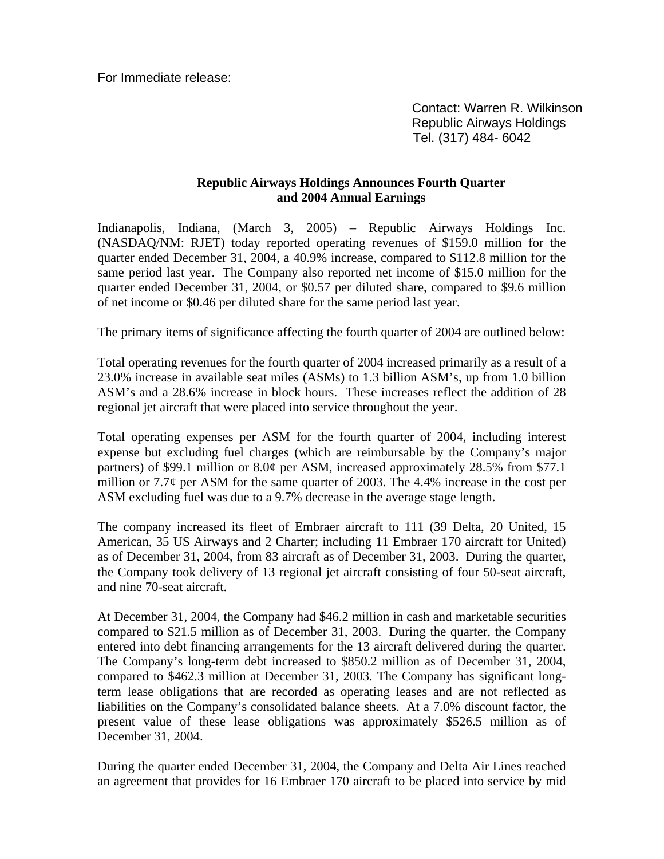For Immediate release:

 Contact: Warren R. Wilkinson Republic Airways Holdings Tel. (317) 484- 6042

## **Republic Airways Holdings Announces Fourth Quarter and 2004 Annual Earnings**

Indianapolis, Indiana, (March 3, 2005) – Republic Airways Holdings Inc. (NASDAQ/NM: RJET) today reported operating revenues of \$159.0 million for the quarter ended December 31, 2004, a 40.9% increase, compared to \$112.8 million for the same period last year. The Company also reported net income of \$15.0 million for the quarter ended December 31, 2004, or \$0.57 per diluted share, compared to \$9.6 million of net income or \$0.46 per diluted share for the same period last year.

The primary items of significance affecting the fourth quarter of 2004 are outlined below:

Total operating revenues for the fourth quarter of 2004 increased primarily as a result of a 23.0% increase in available seat miles (ASMs) to 1.3 billion ASM's, up from 1.0 billion ASM's and a 28.6% increase in block hours. These increases reflect the addition of 28 regional jet aircraft that were placed into service throughout the year.

Total operating expenses per ASM for the fourth quarter of 2004, including interest expense but excluding fuel charges (which are reimbursable by the Company's major partners) of \$99.1 million or 8.0¢ per ASM, increased approximately 28.5% from \$77.1 million or 7.7¢ per ASM for the same quarter of 2003. The 4.4% increase in the cost per ASM excluding fuel was due to a 9.7% decrease in the average stage length.

The company increased its fleet of Embraer aircraft to 111 (39 Delta, 20 United, 15 American, 35 US Airways and 2 Charter; including 11 Embraer 170 aircraft for United) as of December 31, 2004, from 83 aircraft as of December 31, 2003. During the quarter, the Company took delivery of 13 regional jet aircraft consisting of four 50-seat aircraft, and nine 70-seat aircraft.

At December 31, 2004, the Company had \$46.2 million in cash and marketable securities compared to \$21.5 million as of December 31, 2003. During the quarter, the Company entered into debt financing arrangements for the 13 aircraft delivered during the quarter. The Company's long-term debt increased to \$850.2 million as of December 31, 2004, compared to \$462.3 million at December 31, 2003. The Company has significant longterm lease obligations that are recorded as operating leases and are not reflected as liabilities on the Company's consolidated balance sheets. At a 7.0% discount factor, the present value of these lease obligations was approximately \$526.5 million as of December 31, 2004.

During the quarter ended December 31, 2004, the Company and Delta Air Lines reached an agreement that provides for 16 Embraer 170 aircraft to be placed into service by mid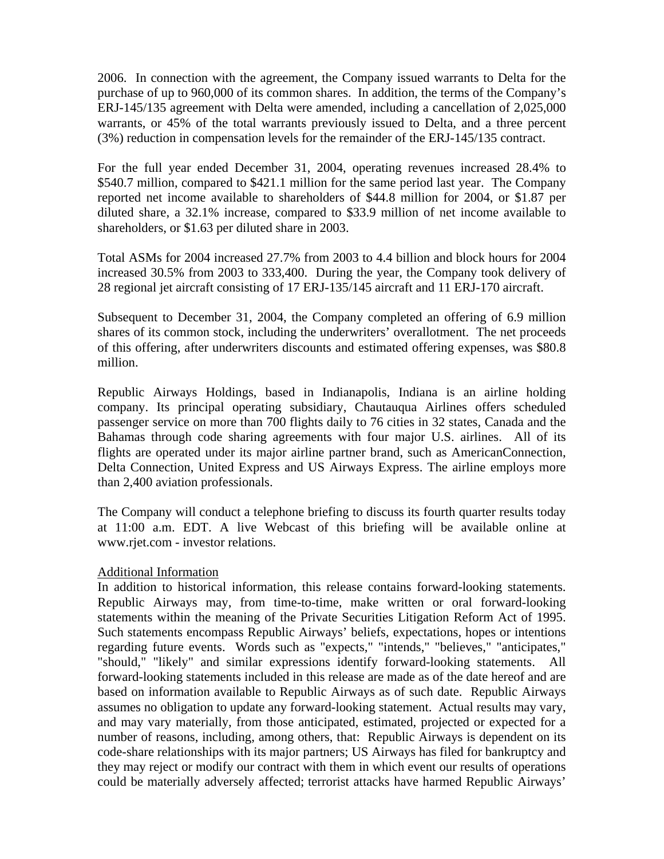2006. In connection with the agreement, the Company issued warrants to Delta for the purchase of up to 960,000 of its common shares. In addition, the terms of the Company's ERJ-145/135 agreement with Delta were amended, including a cancellation of 2,025,000 warrants, or 45% of the total warrants previously issued to Delta, and a three percent (3%) reduction in compensation levels for the remainder of the ERJ-145/135 contract.

For the full year ended December 31, 2004, operating revenues increased 28.4% to \$540.7 million, compared to \$421.1 million for the same period last year. The Company reported net income available to shareholders of \$44.8 million for 2004, or \$1.87 per diluted share, a 32.1% increase, compared to \$33.9 million of net income available to shareholders, or \$1.63 per diluted share in 2003.

Total ASMs for 2004 increased 27.7% from 2003 to 4.4 billion and block hours for 2004 increased 30.5% from 2003 to 333,400. During the year, the Company took delivery of 28 regional jet aircraft consisting of 17 ERJ-135/145 aircraft and 11 ERJ-170 aircraft.

Subsequent to December 31, 2004, the Company completed an offering of 6.9 million shares of its common stock, including the underwriters' overallotment. The net proceeds of this offering, after underwriters discounts and estimated offering expenses, was \$80.8 million.

Republic Airways Holdings, based in Indianapolis, Indiana is an airline holding company. Its principal operating subsidiary, Chautauqua Airlines offers scheduled passenger service on more than 700 flights daily to 76 cities in 32 states, Canada and the Bahamas through code sharing agreements with four major U.S. airlines. All of its flights are operated under its major airline partner brand, such as AmericanConnection, Delta Connection, United Express and US Airways Express. The airline employs more than 2,400 aviation professionals.

The Company will conduct a telephone briefing to discuss its fourth quarter results today at 11:00 a.m. EDT. A live Webcast of this briefing will be available online at www.rjet.com - investor relations.

## Additional Information

In addition to historical information, this release contains forward-looking statements. Republic Airways may, from time-to-time, make written or oral forward-looking statements within the meaning of the Private Securities Litigation Reform Act of 1995. Such statements encompass Republic Airways' beliefs, expectations, hopes or intentions regarding future events. Words such as "expects," "intends," "believes," "anticipates," "should," "likely" and similar expressions identify forward-looking statements. All forward-looking statements included in this release are made as of the date hereof and are based on information available to Republic Airways as of such date. Republic Airways assumes no obligation to update any forward-looking statement. Actual results may vary, and may vary materially, from those anticipated, estimated, projected or expected for a number of reasons, including, among others, that: Republic Airways is dependent on its code-share relationships with its major partners; US Airways has filed for bankruptcy and they may reject or modify our contract with them in which event our results of operations could be materially adversely affected; terrorist attacks have harmed Republic Airways'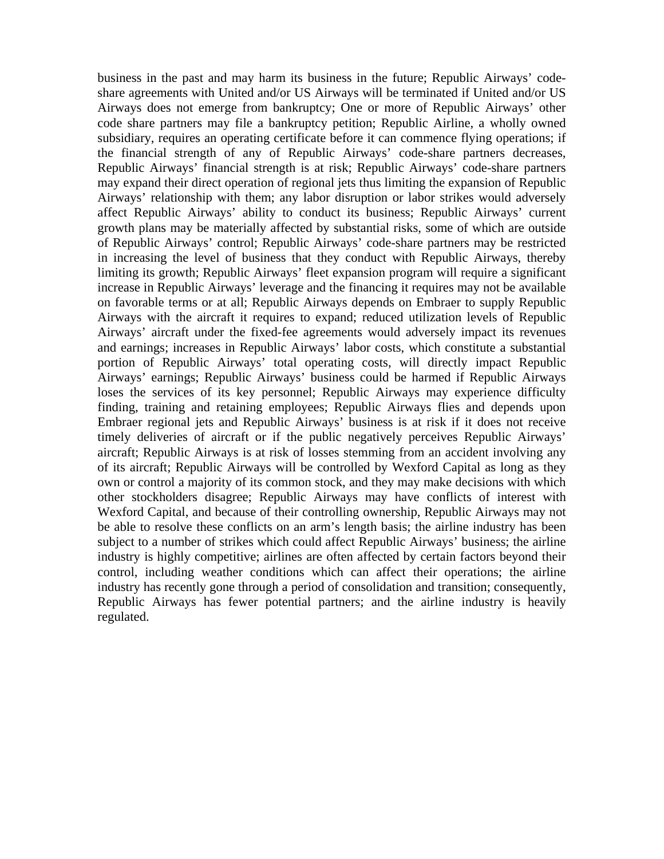business in the past and may harm its business in the future; Republic Airways' codeshare agreements with United and/or US Airways will be terminated if United and/or US Airways does not emerge from bankruptcy; One or more of Republic Airways' other code share partners may file a bankruptcy petition; Republic Airline, a wholly owned subsidiary, requires an operating certificate before it can commence flying operations; if the financial strength of any of Republic Airways' code-share partners decreases, Republic Airways' financial strength is at risk; Republic Airways' code-share partners may expand their direct operation of regional jets thus limiting the expansion of Republic Airways' relationship with them; any labor disruption or labor strikes would adversely affect Republic Airways' ability to conduct its business; Republic Airways' current growth plans may be materially affected by substantial risks, some of which are outside of Republic Airways' control; Republic Airways' code-share partners may be restricted in increasing the level of business that they conduct with Republic Airways, thereby limiting its growth; Republic Airways' fleet expansion program will require a significant increase in Republic Airways' leverage and the financing it requires may not be available on favorable terms or at all; Republic Airways depends on Embraer to supply Republic Airways with the aircraft it requires to expand; reduced utilization levels of Republic Airways' aircraft under the fixed-fee agreements would adversely impact its revenues and earnings; increases in Republic Airways' labor costs, which constitute a substantial portion of Republic Airways' total operating costs, will directly impact Republic Airways' earnings; Republic Airways' business could be harmed if Republic Airways loses the services of its key personnel; Republic Airways may experience difficulty finding, training and retaining employees; Republic Airways flies and depends upon Embraer regional jets and Republic Airways' business is at risk if it does not receive timely deliveries of aircraft or if the public negatively perceives Republic Airways' aircraft; Republic Airways is at risk of losses stemming from an accident involving any of its aircraft; Republic Airways will be controlled by Wexford Capital as long as they own or control a majority of its common stock, and they may make decisions with which other stockholders disagree; Republic Airways may have conflicts of interest with Wexford Capital, and because of their controlling ownership, Republic Airways may not be able to resolve these conflicts on an arm's length basis; the airline industry has been subject to a number of strikes which could affect Republic Airways' business; the airline industry is highly competitive; airlines are often affected by certain factors beyond their control, including weather conditions which can affect their operations; the airline industry has recently gone through a period of consolidation and transition; consequently, Republic Airways has fewer potential partners; and the airline industry is heavily regulated.